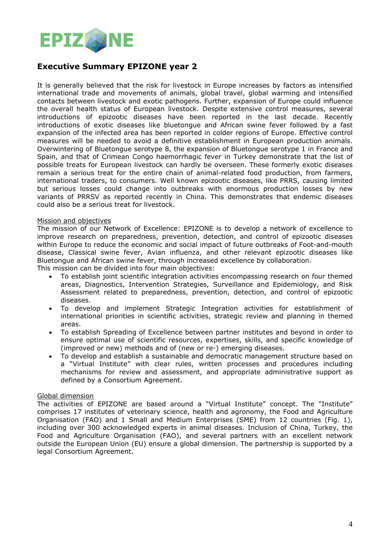

# **Executive Summary EPIZONE year 2**

It is generally believed that the risk for livestock in Europe increases by factors as intensified international trade and movements of animals, global travel, global warming and intensified contacts between livestock and exotic pathogens. Further, expansion of Europe could influence the overall health status of European livestock. Despite extensive control measures, several introductions of epizootic diseases have been reported in the last decade. Recently introductions of exotic diseases like bluetongue and African swine fever followed by a fast expansion of the infected area has been reported in colder regions of Europe. Effective control measures will be needed to avoid a definitive establishment in European production animals. Overwintering of Bluetongue serotype 8, the expansion of Bluetongue serotype 1 in France and Spain, and that of Crimean Congo haemorrhagic fever in Turkey demonstrate that the list of possible treats for European livestock can hardly be overseen. These formerly exotic diseases remain a serious treat for the entire chain of animal-related food production, from farmers, international traders, to consumers. Well known epizootic diseases, like PRRS, causing limited but serious losses could change into outbreaks with enormous production losses by new variants of PRRSV as reported recently in China. This demonstrates that endemic diseases could also be a serious treat for livestock.

#### Mission and objectives

The mission of our Network of Excellence: EPIZONE is to develop a network of excellence to improve research on preparedness, prevention, detection, and control of epizootic diseases within Europe to reduce the economic and social impact of future outbreaks of Foot-and-mouth disease, Classical swine fever, Avian influenza, and other relevant epizootic diseases like Bluetongue and African swine fever, through increased excellence by collaboration.

This mission can be divided into four main objectives:

- To establish joint scientific integration activities encompassing research on four themed areas, Diagnostics, Intervention Strategies, Surveillance and Epidemiology, and Risk Assessment related to preparedness, prevention, detection, and control of epizootic diseases.
- To develop and implement Strategic Integration activities for establishment of international priorities in scientific activities, strategic review and planning in themed areas.
- To establish Spreading of Excellence between partner institutes and beyond in order to ensure optimal use of scientific resources, expertises, skills, and specific knowledge of (improved or new) methods and of (new or re-) emerging diseases.
- To develop and establish a sustainable and democratic management structure based on a "Virtual Institute" with clear rules, written processes and procedures including mechanisms for review and assessment, and appropriate administrative support as defined by a Consortium Agreement.

#### Global dimension

The activities of EPIZONE are based around a "Virtual Institute" concept. The "Institute" comprises 17 institutes of veterinary science, health and agronomy, the Food and Agriculture Organisation (FAO) and 1 Small and Medium Enterprises (SME) from 12 countries (Fig. 1), including over 300 acknowledged experts in animal diseases. Inclusion of China, Turkey, the Food and Agriculture Organisation (FAO), and several partners with an excellent network outside the European Union (EU) ensure a global dimension. The partnership is supported by a legal Consortium Agreement.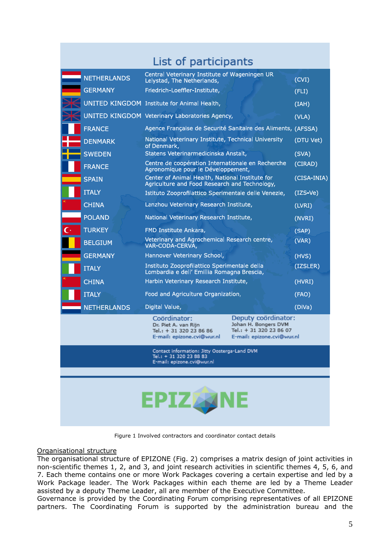| List of participants                                                                                  |                    |                                                                                                  |                                                                                                      |             |
|-------------------------------------------------------------------------------------------------------|--------------------|--------------------------------------------------------------------------------------------------|------------------------------------------------------------------------------------------------------|-------------|
|                                                                                                       | <b>NETHERLANDS</b> | Central Veterinary Institute of Wageningen UR<br>Lelystad, The Netherlands,                      |                                                                                                      | (CVI)       |
| <b>GERMANY</b>                                                                                        |                    | Friedrich-Loeffler-Institute,                                                                    |                                                                                                      | (FLI)       |
|                                                                                                       |                    | UNITED KINGDOM Institute for Animal Health,                                                      |                                                                                                      | (IAH)       |
|                                                                                                       |                    | <b>UNITED KINGDOM Veterinary Laboratories Agency,</b>                                            |                                                                                                      | (VLA)       |
| <b>FRANCE</b>                                                                                         |                    | Agence Française de Securité Sanitaire des Aliments, (AFSSA)                                     |                                                                                                      |             |
| <b>DENMARK</b>                                                                                        |                    | National Veterinary Institute, Technical University<br>of Denmark,                               |                                                                                                      | (DTU Vet)   |
| <b>SWEDEN</b>                                                                                         |                    | Statens Veterinarmedicinska Anstalt,                                                             |                                                                                                      | (SVA)       |
| <b>FRANCE</b>                                                                                         |                    | Centre de coopération Internationale en Recherche<br>Agronomique pour le Développement,          |                                                                                                      | (CIRAD)     |
| <b>SPAIN</b>                                                                                          |                    | Center of Animal Health, National Institute for<br>Agriculture and Food Research and Technology, |                                                                                                      | (CISA-INIA) |
| <b>ITALY</b>                                                                                          |                    | Istituto Zooprofilattico Sperimentale delle Venezie,                                             |                                                                                                      | $(IZS-Ve)$  |
| <b>CHINA</b>                                                                                          |                    | Lanzhou Veterinary Research Institute,                                                           |                                                                                                      | (LVRI)      |
| <b>POLAND</b>                                                                                         |                    | National Veterinary Research Institute,                                                          |                                                                                                      | (NVRI)      |
| <b>TURKEY</b>                                                                                         |                    | FMD Institute Ankara,                                                                            |                                                                                                      | (SAP)       |
| <b>BELGIUM</b>                                                                                        |                    | Veterinary and Agrochemical Research centre,<br>VAR-CODA-CERVA,                                  |                                                                                                      | (VAR)       |
| <b>GERMANY</b>                                                                                        |                    | Hannover Veterinary School,                                                                      |                                                                                                      | (HVS)       |
| <b>ITALY</b>                                                                                          |                    | Instituto Zooprofilattico Sperimentale della<br>Lombardia e dell' Emillia Romagna Brescia,       |                                                                                                      | (IZSLER)    |
| <b>CHINA</b>                                                                                          |                    | Harbin Veterinary Research Institute,                                                            |                                                                                                      | (HVRI)      |
| <b>ITALY</b>                                                                                          |                    | Food and Agriculture Organization,                                                               |                                                                                                      | (FAO)       |
|                                                                                                       | <b>NETHERLANDS</b> | Digital Value,                                                                                   |                                                                                                      | (DiVa)      |
|                                                                                                       |                    | Coördinator:<br>Dr. Piet A. van Rijn<br>Tel.: + 31 320 23 86 86<br>E-mail: epizone.cvi@wur.nl    | Deputy coördinator:<br>Johan H. Bongers DVM<br>Tel.: + 31 320 23 86 07<br>E-mail: epizone.cvi@wur.nl |             |
| Contact information: Jitty Oosterga-Land DVM<br>Tel.: + 31 320 23 88 83<br>E-mail: epizone.cvi@wur.nl |                    |                                                                                                  |                                                                                                      |             |
|                                                                                                       |                    |                                                                                                  |                                                                                                      |             |
| <b>EPIZ ANE</b>                                                                                       |                    |                                                                                                  |                                                                                                      |             |

Figure 1 Involved contractors and coordinator contact details

## Organisational structure

The organisational structure of EPIZONE (Fig. 2) comprises a matrix design of joint activities in non-scientific themes 1, 2, and 3, and joint research activities in scientific themes 4, 5, 6, and 7. Each theme contains one or more Work Packages covering a certain expertise and led by a Work Package leader. The Work Packages within each theme are led by a Theme Leader assisted by a deputy Theme Leader, all are member of the Executive Committee.

Governance is provided by the Coordinating Forum comprising representatives of all EPIZONE partners. The Coordinating Forum is supported by the administration bureau and the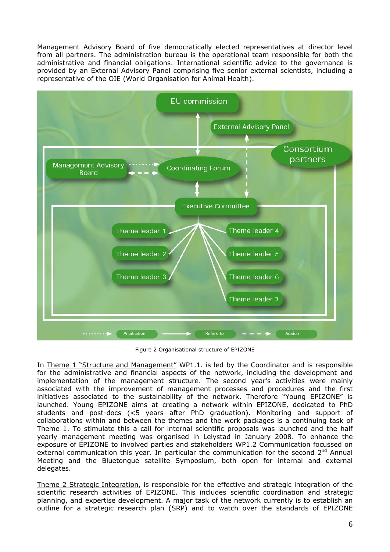Management Advisory Board of five democratically elected representatives at director level from all partners. The administration bureau is the operational team responsible for both the administrative and financial obligations. International scientific advice to the governance is provided by an External Advisory Panel comprising five senior external scientists, including a representative of the OIE (World Organisation for Animal Health).



Figure 2 Organisational structure of EPIZONE

In Theme 1 "Structure and Management" WP1.1. is led by the Coordinator and is responsible for the administrative and financial aspects of the network, including the development and implementation of the management structure. The second year's activities were mainly associated with the improvement of management processes and procedures and the first initiatives associated to the sustainability of the network. Therefore "Young EPIZONE" is launched. Young EPIZONE aims at creating a network within EPIZONE, dedicated to PhD students and post-docs (<5 years after PhD graduation). Monitoring and support of collaborations within and between the themes and the work packages is a continuing task of Theme 1. To stimulate this a call for internal scientific proposals was launched and the half yearly management meeting was organised in Lelystad in January 2008. To enhance the exposure of EPIZONE to involved parties and stakeholders WP1.2 Communication focussed on external communication this year. In particular the communication for the second  $2<sup>nd</sup>$  Annual Meeting and the Bluetongue satellite Symposium, both open for internal and external delegates.

Theme 2 Strategic Integration, is responsible for the effective and strategic integration of the scientific research activities of EPIZONE. This includes scientific coordination and strategic planning, and expertise development. A major task of the network currently is to establish an outline for a strategic research plan (SRP) and to watch over the standards of EPIZONE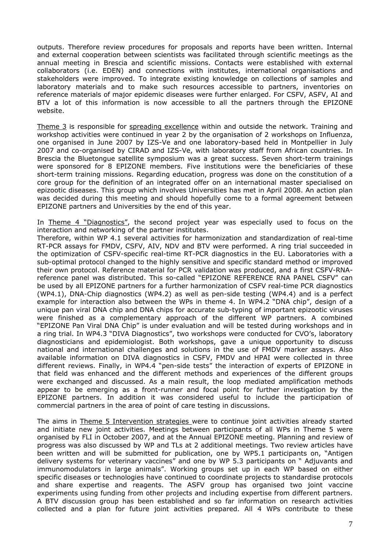outputs. Therefore review procedures for proposals and reports have been written. Internal and external cooperation between scientists was facilitated through scientific meetings as the annual meeting in Brescia and scientific missions. Contacts were established with external collaborators (i.e. EDEN) and connections with institutes, international organisations and stakeholders were improved. To integrate existing knowledge on collections of samples and laboratory materials and to make such resources accessible to partners, inventories on reference materials of major epidemic diseases were further enlarged. For CSFV, ASFV, AI and BTV a lot of this information is now accessible to all the partners through the EPIZONE website.

Theme 3 is responsible for spreading excellence within and outside the network. Training and workshop activities were continued in year 2 by the organisation of 2 workshops on Influenza, one organised in June 2007 by IZS-Ve and one laboratory-based held in Montpellier in July 2007 and co-organised by CIRAD and IZS-Ve, with laboratory staff from African countries. In Brescia the Bluetongue satellite symposium was a great success. Seven short-term trainings were sponsored for 8 EPIZONE members. Five institutions were the beneficiaries of these short-term training missions. Regarding education, progress was done on the constitution of a core group for the definition of an integrated offer on an international master specialised on epizootic diseases. This group which involves Universities has met in April 2008. An action plan was decided during this meeting and should hopefully come to a formal agreement between EPIZONE partners and Universities by the end of this year.

In Theme 4 "Diagnostics", the second project year was especially used to focus on the interaction and networking of the partner institutes.

Therefore, within WP 4.1 several activities for harmonization and standardization of real-time RT-PCR assays for FMDV, CSFV, AIV, NDV and BTV were performed. A ring trial succeeded in the optimization of CSFV-specific real-time RT-PCR diagnostics in the EU. Laboratories with a sub-optimal protocol changed to the highly sensitive and specific standard method or improved their own protocol. Reference material for PCR validation was produced, and a first CSFV-RNAreference panel was distributed. This so-called "EPIZONE REFERENCE RNA PANEL CSFV" can be used by all EPIZONE partners for a further harmonization of CSFV real-time PCR diagnostics (WP4.1), DNA-Chip diagnostics (WP4.2) as well as pen-side testing (WP4.4) and is a perfect example for interaction also between the WPs in theme 4. In WP4.2 "DNA chip", design of a unique pan viral DNA chip and DNA chips for accurate sub-typing of important epizootic viruses were finished as a complementary approach of the different WP partners. A combined "EPIZONE Pan Viral DNA Chip" is under evaluation and will be tested during workshops and in a ring trial. In WP4.3 "DIVA Diagnostics", two workshops were conducted for CVO's, laboratory diagnosticians and epidemiologist. Both workshops, gave a unique opportunity to discuss national and international challenges and solutions in the use of FMDV marker assays. Also available information on DIVA diagnostics in CSFV, FMDV and HPAI were collected in three different reviews. Finally, in WP4.4 "pen-side tests" the interaction of experts of EPIZONE in that field was enhanced and the different methods and experiences of the different groups were exchanged and discussed. As a main result, the loop mediated amplification methods appear to be emerging as a front-runner and focal point for further investigation by the EPIZONE partners. In addition it was considered useful to include the participation of commercial partners in the area of point of care testing in discussions.

The aims in Theme 5 Intervention strategies were to continue joint activities already started and initiate new joint activities. Meetings between participants of all WPs in Theme 5 were organised by FLI in October 2007, and at the Annual EPIZONE meeting. Planning and review of progress was also discussed by WP and TLs at 2 additional meetings. Two review articles have been written and will be submitted for publication, one by WP5.1 participants on, "Antigen delivery systems for veterinary vaccines" and one by WP 5.3 participants on " Adjuvants and immunomodulators in large animals". Working groups set up in each WP based on either specific diseases or technologies have continued to coordinate projects to standardise protocols and share expertise and reagents. The ASFV group has organised two joint vaccine experiments using funding from other projects and including expertise from different partners. A BTV discussion group has been established and so far information on research activities collected and a plan for future joint activities prepared. All 4 WPs contribute to these